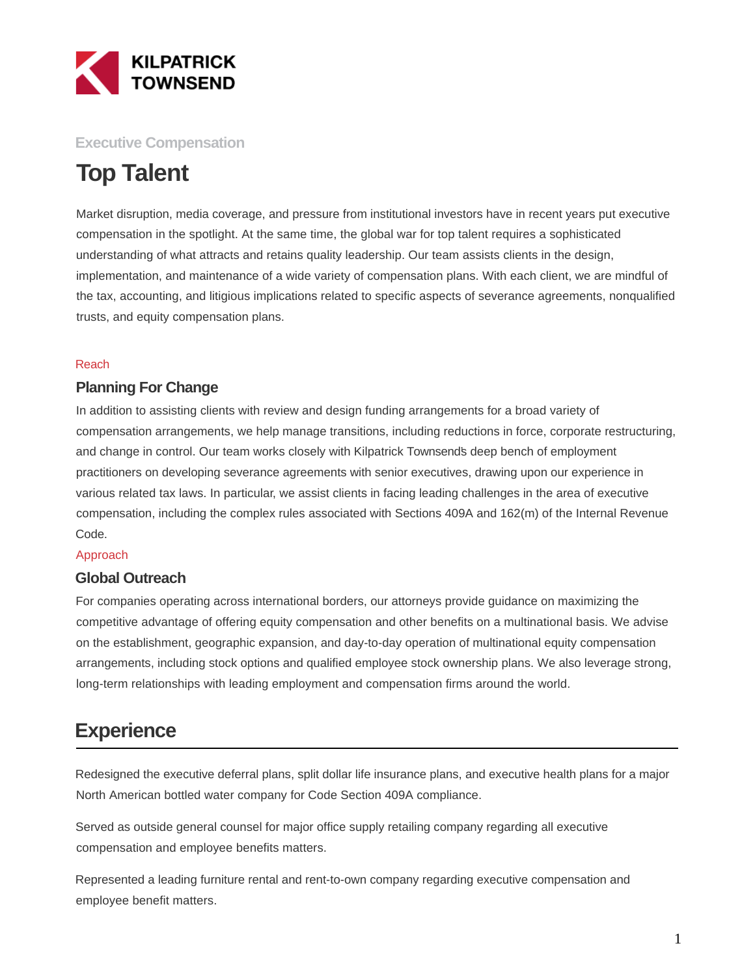

## **Executive Compensation**

# **Top Talent**

Market disruption, media coverage, and pressure from institutional investors have in recent years put executive compensation in the spotlight. At the same time, the global war for top talent requires a sophisticated understanding of what attracts and retains quality leadership. Our team assists clients in the design, implementation, and maintenance of a wide variety of compensation plans. With each client, we are mindful of the tax, accounting, and litigious implications related to specific aspects of severance agreements, nonqualified trusts, and equity compensation plans.

#### Reach

### **Planning For Change**

In addition to assisting clients with review and design funding arrangements for a broad variety of compensation arrangements, we help manage transitions, including reductions in force, corporate restructuring, and change in control. Our team works closely with Kilpatrick Townsend's deep bench of employment practitioners on developing severance agreements with senior executives, drawing upon our experience in various related tax laws. In particular, we assist clients in facing leading challenges in the area of executive compensation, including the complex rules associated with Sections 409A and 162(m) of the Internal Revenue Code.

#### Approach

### **Global Outreach**

For companies operating across international borders, our attorneys provide guidance on maximizing the competitive advantage of offering equity compensation and other benefits on a multinational basis. We advise on the establishment, geographic expansion, and day-to-day operation of multinational equity compensation arrangements, including stock options and qualified employee stock ownership plans. We also leverage strong, long-term relationships with leading employment and compensation firms around the world.

## **Experience**

Redesigned the executive deferral plans, split dollar life insurance plans, and executive health plans for a major North American bottled water company for Code Section 409A compliance.

Served as outside general counsel for major office supply retailing company regarding all executive compensation and employee benefits matters.

Represented a leading furniture rental and rent-to-own company regarding executive compensation and employee benefit matters.